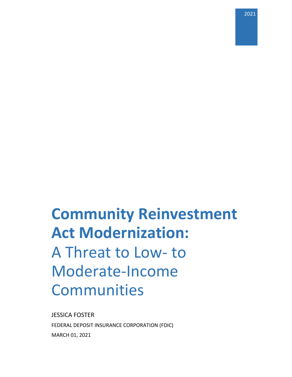2021

# **Community Reinvestment Act Modernization:**  A Threat to Low- to Moderate-Income Communities

JESSICA FOSTER FEDERAL DEPOSIT INSURANCE CORPORATION (FDIC) MARCH 01, 2021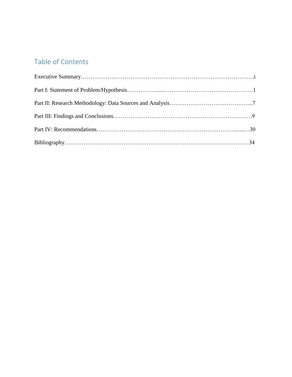## Table of Contents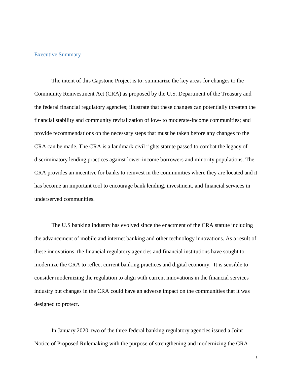#### Executive Summary

The intent of this Capstone Project is to: summarize the key areas for changes to the Community Reinvestment Act (CRA) as proposed by the U.S. Department of the Treasury and the federal financial regulatory agencies; illustrate that these changes can potentially threaten the financial stability and community revitalization of low- to moderate-income communities; and provide recommendations on the necessary steps that must be taken before any changes to the CRA can be made. The CRA is a landmark civil rights statute passed to combat the legacy of discriminatory lending practices against lower-income borrowers and minority populations. The CRA provides an incentive for banks to reinvest in the communities where they are located and it has become an important tool to encourage bank lending, investment, and financial services in underserved communities.

The U.S banking industry has evolved since the enactment of the CRA statute including the advancement of mobile and internet banking and other technology innovations. As a result of these innovations, the financial regulatory agencies and financial institutions have sought to modernize the CRA to reflect current banking practices and digital economy. It is sensible to consider modernizing the regulation to align with current innovations in the financial services industry but changes in the CRA could have an adverse impact on the communities that it was designed to protect.

In January 2020, two of the three federal banking regulatory agencies issued a Joint Notice of Proposed Rulemaking with the purpose of strengthening and modernizing the CRA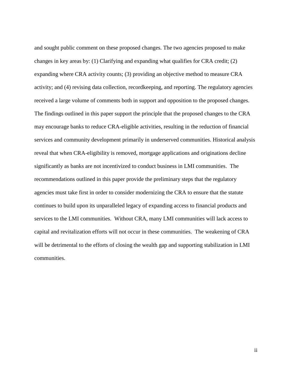and sought public comment on these proposed changes. The two agencies proposed to make changes in key areas by: (1) Clarifying and expanding what qualifies for CRA credit; (2) expanding where CRA activity counts; (3) providing an objective method to measure CRA activity; and (4) revising data collection, recordkeeping, and reporting. The regulatory agencies received a large volume of comments both in support and opposition to the proposed changes. The findings outlined in this paper support the principle that the proposed changes to the CRA may encourage banks to reduce CRA-eligible activities, resulting in the reduction of financial services and community development primarily in underserved communities. Historical analysis reveal that when CRA-eligibility is removed, mortgage applications and originations decline significantly as banks are not incentivized to conduct business in LMI communities. The recommendations outlined in this paper provide the preliminary steps that the regulatory agencies must take first in order to consider modernizing the CRA to ensure that the statute continues to build upon its unparalleled legacy of expanding access to financial products and services to the LMI communities. Without CRA, many LMI communities will lack access to capital and revitalization efforts will not occur in these communities. The weakening of CRA will be detrimental to the efforts of closing the wealth gap and supporting stabilization in LMI communities.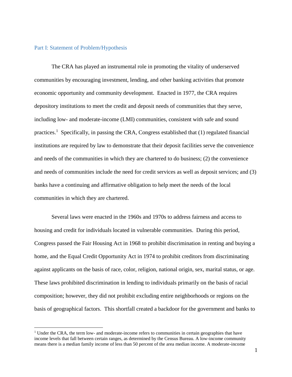#### Part I: Statement of Problem/Hypothesis

 $\overline{a}$ 

The CRA has played an instrumental role in promoting the vitality of underserved communities by encouraging investment, lending, and other banking activities that promote economic opportunity and community development. Enacted in 1977, the CRA requires depository institutions to meet the credit and deposit needs of communities that they serve, including low- and moderate-income (LMI) communities, consistent with safe and sound practices.<sup>1</sup> Specifically, in passing the CRA, Congress established that (1) regulated financial institutions are required by law to demonstrate that their deposit facilities serve the convenience and needs of the communities in which they are chartered to do business; (2) the convenience and needs of communities include the need for credit services as well as deposit services; and (3) banks have a continuing and affirmative obligation to help meet the needs of the local communities in which they are chartered.

Several laws were enacted in the 1960s and 1970s to address fairness and access to housing and credit for individuals located in vulnerable communities. During this period, Congress passed the Fair Housing Act in 1968 to prohibit discrimination in renting and buying a home, and the Equal Credit Opportunity Act in 1974 to prohibit creditors from discriminating against applicants on the basis of race, color, religion, national origin, sex, marital status, or age. These laws prohibited discrimination in lending to individuals primarily on the basis of racial composition; however, they did not prohibit excluding entire neighborhoods or regions on the basis of geographical factors. This shortfall created a backdoor for the government and banks to

<sup>&</sup>lt;sup>1</sup> Under the CRA, the term low- and moderate-income refers to communities in certain geographies that have income levels that fall between certain ranges, as determined by the Census Bureau. A low-income community means there is a median family income of less than 50 percent of the area median income. A moderate-income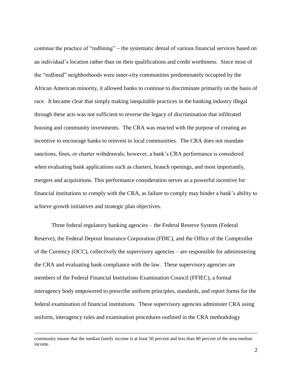continue the practice of "redlining" – the systematic denial of various financial services based on an individual's location rather than on their qualifications and credit worthiness. Since most of the "redlined" neighborhoods were inner-city communities predominately occupied by the African American minority, it allowed banks to continue to discriminate primarily on the basis of race. It became clear that simply making inequitable practices in the banking industry illegal through these acts was not sufficient to reverse the legacy of discrimination that infiltrated housing and community investments. The CRA was enacted with the purpose of creating an incentive to encourage banks to reinvest in local communities. The CRA does not mandate sanctions, fines, or charter withdrawals; however, a bank's CRA performance is considered when evaluating bank applications such as charters, branch openings, and most importantly, mergers and acquisitions. This performance consideration serves as a powerful incentive for financial institutions to comply with the CRA, as failure to comply may hinder a bank's ability to achieve growth initiatives and strategic plan objectives.

Three federal regulatory banking agencies – the Federal Reserve System (Federal Reserve), the Federal Deposit Insurance Corporation (FDIC), and the Office of the Comptroller of the Currency (OCC), collectively the supervisory agencies – are responsible for administering the CRA and evaluating bank compliance with the law. These supervisory agencies are members of the Federal Financial Institutions Examination Council (FFIEC), a formal interagency body empowered to prescribe uniform principles, standards, and report forms for the federal examination of financial institutions. These supervisory agencies administer CRA using uniform, interagency rules and examination procedures outlined in the CRA methodology

community means that the median family income is at least 50 percent and less than 80 percent of the area median income.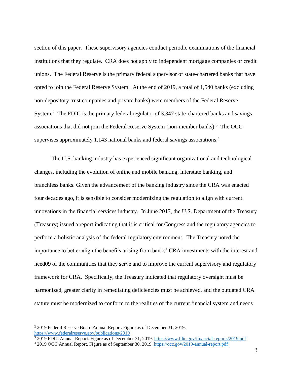section of this paper. These supervisory agencies conduct periodic examinations of the financial institutions that they regulate. CRA does not apply to independent mortgage companies or credit unions. The Federal Reserve is the primary federal supervisor of state-chartered banks that have opted to join the Federal Reserve System. At the end of 2019, a total of 1,540 banks (excluding non-depository trust companies and private banks) were members of the Federal Reserve System.<sup>2</sup> The FDIC is the primary federal regulator of 3,347 state-chartered banks and savings associations that did not join the Federal Reserve System (non-member banks).<sup>3</sup> The OCC supervises approximately 1,143 national banks and federal savings associations. 4

The U.S. banking industry has experienced significant organizational and technological changes, including the evolution of online and mobile banking, interstate banking, and branchless banks. Given the advancement of the banking industry since the CRA was enacted four decades ago, it is sensible to consider modernizing the regulation to align with current innovations in the financial services industry. In June 2017, the U.S. Department of the Treasury (Treasury) issued a report indicating that it is critical for Congress and the regulatory agencies to perform a holistic analysis of the federal regulatory environment. The Treasury noted the importance to better align the benefits arising from banks' CRA investments with the interest and need09 of the communities that they serve and to improve the current supervisory and regulatory framework for CRA. Specifically, the Treasury indicated that regulatory oversight must be harmonized, greater clarity in remediating deficiencies must be achieved, and the outdated CRA statute must be modernized to conform to the realities of the current financial system and needs

<sup>&</sup>lt;sup>2</sup> 2019 Federal Reserve Board Annual Report. Figure as of December 31, 2019. [https://www.federalreserve.gov/publications/2019](https://www.federalreserve.gov/publications/2019-ar-supervision-and-regulation.htm#xsubsection-13-f5a1b866)

<sup>3</sup> 2019 FDIC Annual Report. Figure as of December 31, 2019. [https://www.fdic.gov/financial-reports/2019.pdf](https://www.fdic.gov/about/financial-reports/report/2019annualreport/2019ar-final.pdf)

<sup>4</sup> 2019 OCC Annual Report. Figure as of September 30, 2019. [https://occ.gov/2019-annual-report.pdf](file:///C:/Users/JesFoster/Downloads/2019-annual-report%20(2).pdf)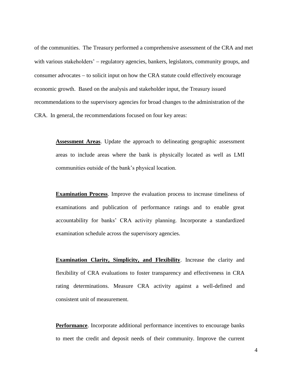of the communities. The Treasury performed a comprehensive assessment of the CRA and met with various stakeholders' – regulatory agencies, bankers, legislators, community groups, and consumer advocates  $-$  to solicit input on how the CRA statute could effectively encourage economic growth. Based on the analysis and stakeholder input, the Treasury issued recommendations to the supervisory agencies for broad changes to the administration of the CRA. In general, the recommendations focused on four key areas:

**Assessment Areas**. Update the approach to delineating geographic assessment areas to include areas where the bank is physically located as well as LMI communities outside of the bank's physical location.

**Examination Process**. Improve the evaluation process to increase timeliness of examinations and publication of performance ratings and to enable great accountability for banks' CRA activity planning. Incorporate a standardized examination schedule across the supervisory agencies.

**Examination Clarity, Simplicity, and Flexibility**. Increase the clarity and flexibility of CRA evaluations to foster transparency and effectiveness in CRA rating determinations. Measure CRA activity against a well-defined and consistent unit of measurement.

**Performance**. Incorporate additional performance incentives to encourage banks to meet the credit and deposit needs of their community. Improve the current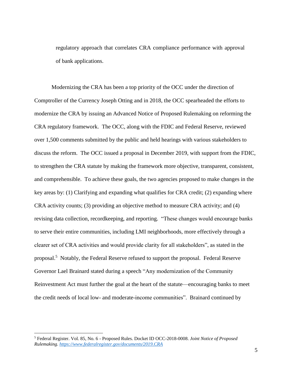regulatory approach that correlates CRA compliance performance with approval of bank applications.

Modernizing the CRA has been a top priority of the OCC under the direction of Comptroller of the Currency Joseph Otting and in 2018, the OCC spearheaded the efforts to modernize the CRA by issuing an Advanced Notice of Proposed Rulemaking on reforming the CRA regulatory framework. The OCC, along with the FDIC and Federal Reserve, reviewed over 1,500 comments submitted by the public and held hearings with various stakeholders to discuss the reform. The OCC issued a proposal in December 2019, with support from the FDIC, to strengthen the CRA statute by making the framework more objective, transparent, consistent, and comprehensible. To achieve these goals, the two agencies proposed to make changes in the key areas by: (1) Clarifying and expanding what qualifies for CRA credit; (2) expanding where CRA activity counts; (3) providing an objective method to measure CRA activity; and (4) revising data collection, recordkeeping, and reporting. "These changes would encourage banks to serve their entire communities, including LMI neighborhoods, more effectively through a clearer set of CRA activities and would provide clarity for all stakeholders", as stated in the proposal.<sup>5</sup> Notably, the Federal Reserve refused to support the proposal. Federal Reserve Governor Lael Brainard stated during a speech "Any modernization of the Community Reinvestment Act must further the goal at the heart of the statute—encouraging banks to meet the credit needs of local low- and moderate-income communities". Brainard continued by

<sup>5</sup> Federal Register. Vol. 85, No. 6 - Proposed Rules. Docket ID OCC-2018-0008. *Joint Notice of Proposed Rulemaking. [https://www.federalregister.gov/documents/2019.CRA](https://www.federalregister.gov/documents/2020/01/09/2019-27940/community-reinvestment-act-regulations)*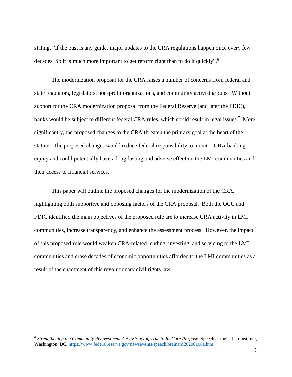stating, "If the past is any guide, major updates to the CRA regulations happen once every few decades. So it is much more important to get reform right than to do it quickly".<sup>6</sup>

The modernization proposal for the CRA raises a number of concerns from federal and state regulators, legislators, non-profit organizations, and community activist groups. Without support for the CRA modernization proposal from the Federal Reserve (and later the FDIC), banks would be subject to different federal CRA rules, which could result in legal issues.<sup>7</sup> More significantly, the proposed changes to the CRA threaten the primary goal at the heart of the statute. The proposed changes would reduce federal responsibility to monitor CRA banking equity and could potentially have a long-lasting and adverse effect on the LMI communities and their access to financial services.

This paper will outline the proposed changes for the modernization of the CRA, highlighting both supportive and opposing factors of the CRA proposal. Both the OCC and FDIC identified the main objectives of the proposed rule are to increase CRA activity in LMI communities, increase transparency, and enhance the assessment process. However, the impact of this proposed rule would weaken CRA-related lending, investing, and servicing to the LMI communities and erase decades of economic opportunities afforded to the LMI communities as a result of the enactment of this revolutionary civil rights law.

<sup>&</sup>lt;sup>6</sup> Strengthening the Community Reinvestment Act by Staying True to Its Core Purpose. Speech at the Urban Institute, Washington, DC. <https://www.federalreserve.gov/newsevents/speech/brainard20200108a.htm>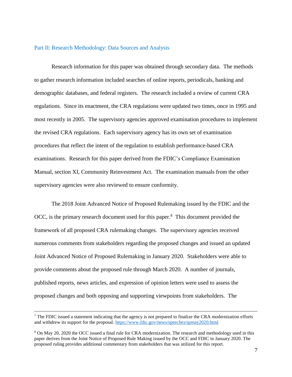#### Part II: Research Methodology: Data Sources and Analysis

Research information for this paper was obtained through secondary data. The methods to gather research information included searches of online reports, periodicals, banking and demographic databases, and federal registers. The research included a review of current CRA regulations. Since its enactment, the CRA regulations were updated two times, once in 1995 and most recently in 2005. The supervisory agencies approved examination procedures to implement the revised CRA regulations. Each supervisory agency has its own set of examination procedures that reflect the intent of the regulation to establish performance-based CRA examinations. Research for this paper derived from the FDIC's Compliance Examination Manual, section XI, Community Reinvestment Act. The examination manuals from the other supervisory agencies were also reviewed to ensure conformity.

The 2018 Joint Advanced Notice of Proposed Rulemaking issued by the FDIC and the OCC, is the primary research document used for this paper.<sup>8</sup> This document provided the framework of all proposed CRA rulemaking changes. The supervisory agencies received numerous comments from stakeholders regarding the proposed changes and issued an updated Joint Advanced Notice of Proposed Rulemaking in January 2020. Stakeholders were able to provide comments about the proposed rule through March 2020. A number of journals, published reports, news articles, and expression of opinion letters were used to assess the proposed changes and both opposing and supporting viewpoints from stakeholders. The

 $<sup>7</sup>$  The FDIC issued a statement indicating that the agency is not prepared to finalize the CRA modernization efforts</sup> and withdrew its support for the proposal. <https://www.fdic.gov/news/speeches/spmay2020.html>

<sup>8</sup> On May 20, 2020 the OCC issued a final rule for CRA modernization. The research and methodology used in this paper derives from the Joint Notice of Proposed Rule Making issued by the OCC and FDIC in January 2020. The proposed ruling provides additional commentary from stakeholders that was utilized for this report.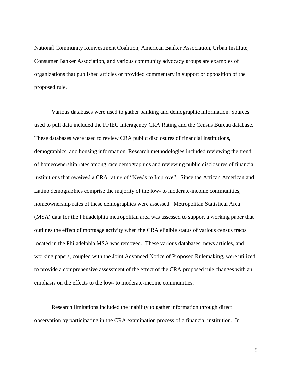National Community Reinvestment Coalition, American Banker Association, Urban Institute, Consumer Banker Association, and various community advocacy groups are examples of organizations that published articles or provided commentary in support or opposition of the proposed rule.

Various databases were used to gather banking and demographic information. Sources used to pull data included the FFIEC Interagency CRA Rating and the Census Bureau database. These databases were used to review CRA public disclosures of financial institutions, demographics, and housing information. Research methodologies included reviewing the trend of homeownership rates among race demographics and reviewing public disclosures of financial institutions that received a CRA rating of "Needs to Improve". Since the African American and Latino demographics comprise the majority of the low- to moderate-income communities, homeownership rates of these demographics were assessed. Metropolitan Statistical Area (MSA) data for the Philadelphia metropolitan area was assessed to support a working paper that outlines the effect of mortgage activity when the CRA eligible status of various census tracts located in the Philadelphia MSA was removed. These various databases, news articles, and working papers, coupled with the Joint Advanced Notice of Proposed Rulemaking, were utilized to provide a comprehensive assessment of the effect of the CRA proposed rule changes with an emphasis on the effects to the low- to moderate-income communities.

Research limitations included the inability to gather information through direct observation by participating in the CRA examination process of a financial institution. In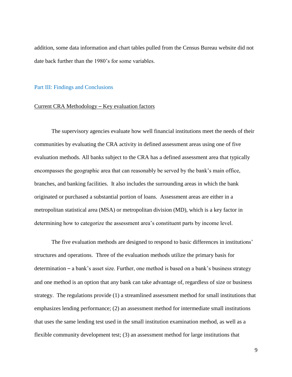addition, some data information and chart tables pulled from the Census Bureau website did not date back further than the 1980's for some variables.

#### Part III: Findings and Conclusions

#### Current CRA Methodology – Key evaluation factors

The supervisory agencies evaluate how well financial institutions meet the needs of their communities by evaluating the CRA activity in defined assessment areas using one of five evaluation methods. All banks subject to the CRA has a defined assessment area that typically encompasses the geographic area that can reasonably be served by the bank's main office, branches, and banking facilities. It also includes the surrounding areas in which the bank originated or purchased a substantial portion of loans. Assessment areas are either in a metropolitan statistical area (MSA) or metropolitan division (MD), which is a key factor in determining how to categorize the assessment area's constituent parts by income level.

The five evaluation methods are designed to respond to basic differences in institutions' structures and operations. Three of the evaluation methods utilize the primary basis for determination – a bank's asset size. Further, one method is based on a bank's business strategy and one method is an option that any bank can take advantage of, regardless of size or business strategy. The regulations provide (1) a streamlined assessment method for small institutions that emphasizes lending performance; (2) an assessment method for intermediate small institutions that uses the same lending test used in the small institution examination method, as well as a flexible community development test; (3) an assessment method for large institutions that

9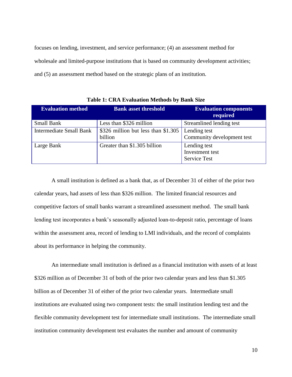focuses on lending, investment, and service performance; (4) an assessment method for wholesale and limited-purpose institutions that is based on community development activities; and (5) an assessment method based on the strategic plans of an institution.

| <b>Evaluation method</b>       | <b>Bank asset threshold</b>                    | <b>Evaluation components</b><br>required               |
|--------------------------------|------------------------------------------------|--------------------------------------------------------|
| <b>Small Bank</b>              | Less than \$326 million                        | Streamlined lending test                               |
| <b>Intermediate Small Bank</b> | \$326 million but less than \$1.305<br>billion | Lending test<br>Community development test             |
| Large Bank                     | Greater than \$1.305 billion                   | Lending test<br>Investment test<br><b>Service Test</b> |

**Table 1: CRA Evaluation Methods by Bank Size**

A small institution is defined as a bank that, as of December 31 of either of the prior two calendar years, had assets of less than \$326 million. The limited financial resources and competitive factors of small banks warrant a streamlined assessment method. The small bank lending test incorporates a bank's seasonally adjusted loan-to-deposit ratio, percentage of loans within the assessment area, record of lending to LMI individuals, and the record of complaints about its performance in helping the community.

An intermediate small institution is defined as a financial institution with assets of at least \$326 million as of December 31 of both of the prior two calendar years and less than \$1.305 billion as of December 31 of either of the prior two calendar years. Intermediate small institutions are evaluated using two component tests: the small institution lending test and the flexible community development test for intermediate small institutions. The intermediate small institution community development test evaluates the number and amount of community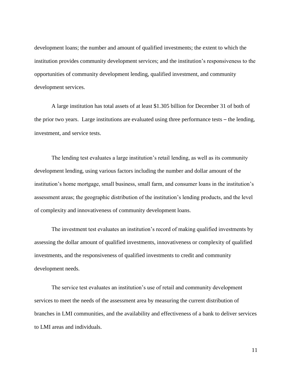development loans; the number and amount of qualified investments; the extent to which the institution provides community development services; and the institution's responsiveness to the opportunities of community development lending, qualified investment, and community development services.

A large institution has total assets of at least \$1.305 billion for December 31 of both of the prior two years. Large institutions are evaluated using three performance tests – the lending, investment, and service tests.

The lending test evaluates a large institution's retail lending, as well as its community development lending, using various factors including the number and dollar amount of the institution's home mortgage, small business, small farm, and consumer loans in the institution's assessment areas; the geographic distribution of the institution's lending products, and the level of complexity and innovativeness of community development loans.

The investment test evaluates an institution's record of making qualified investments by assessing the dollar amount of qualified investments, innovativeness or complexity of qualified investments, and the responsiveness of qualified investments to credit and community development needs.

The service test evaluates an institution's use of retail and community development services to meet the needs of the assessment area by measuring the current distribution of branches in LMI communities, and the availability and effectiveness of a bank to deliver services to LMI areas and individuals.

11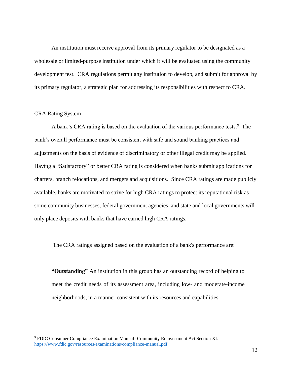An institution must receive approval from its primary regulator to be designated as a wholesale or limited-purpose institution under which it will be evaluated using the community development test. CRA regulations permit any institution to develop, and submit for approval by its primary regulator, a strategic plan for addressing its responsibilities with respect to CRA.

#### CRA Rating System

 $\overline{a}$ 

A bank's CRA rating is based on the evaluation of the various performance tests.<sup>9</sup> The bank's overall performance must be consistent with safe and sound banking practices and adjustments on the basis of evidence of discriminatory or other illegal credit may be applied. Having a "Satisfactory" or better CRA rating is considered when banks submit applications for charters, branch relocations, and mergers and acquisitions. Since CRA ratings are made publicly available, banks are motivated to strive for high CRA ratings to protect its reputational risk as some community businesses, federal government agencies, and state and local governments will only place deposits with banks that have earned high CRA ratings.

The CRA ratings assigned based on the evaluation of a bank's performance are:

**"Outstanding"** An institution in this group has an outstanding record of helping to meet the credit needs of its assessment area, including low- and moderate-income neighborhoods, in a manner consistent with its resources and capabilities.

<sup>9</sup> FDIC Consumer Compliance Examination Manual- Community Reinvestment Act Section XI. [https://www.fdic.gov/resources/examinations/compliance-manual.pdf](https://www.fdic.gov/resources/supervision-and-examinations/consumer-compliance-examination-manual/documents/compliance-examination-manual.pdf)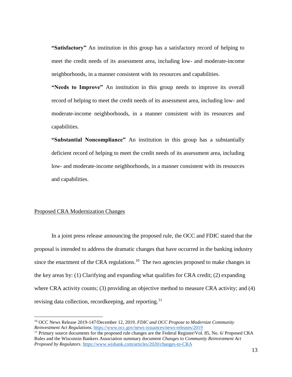**"Satisfactory"** An institution in this group has a satisfactory record of helping to meet the credit needs of its assessment area, including low- and moderate-income neighborhoods, in a manner consistent with its resources and capabilities.

**"Needs to Improve"** An institution in this group needs to improve its overall record of helping to meet the credit needs of its assessment area, including low- and moderate-income neighborhoods, in a manner consistent with its resources and capabilities.

**"Substantial Noncompliance"** An institution in this group has a substantially deficient record of helping to meet the credit needs of its assessment area, including low- and moderate-income neighborhoods, in a manner consistent with its resources and capabilities.

#### Proposed CRA Modernization Changes

 $\overline{a}$ 

In a joint press release announcing the proposed rule, the OCC and FDIC stated that the proposal is intended to address the dramatic changes that have occurred in the banking industry since the enactment of the CRA regulations.<sup>10</sup> The two agencies proposed to make changes in the key areas by: (1) Clarifying and expanding what qualifies for CRA credit; (2) expanding where CRA activity counts; (3) providing an objective method to measure CRA activity; and (4) revising data collection, recordkeeping, and reporting.<sup>11</sup>

<sup>10</sup> OCC News Release 2019-147/December 12, 2019. *FDIC and OCC Propose to Modernize Community Reinvestment Act Regulations*. [https://www.occ.gov/news-issuances/news-releases/2019](https://www.occ.gov/news-issuances/news-releases/2019/nr-ia-2019-147.html?utm_source=RSS_feed&utm_medium=RSS)

<sup>&</sup>lt;sup>11</sup> Primary source documents for the proposed rule changes are the Federal Register/Vol. 85, No. 6/ Proposed CRA Rules and the Wisconsin Bankers Association summary document *Changes to Community Reinvestment Act Proposed by Regulators.* [https://www.wisbank.com/articles/2020/changes-to-CRA](https://www.wisbank.com/articles/2020/01/changes-to-community-reinvestment-act-proposed-by-regulators/)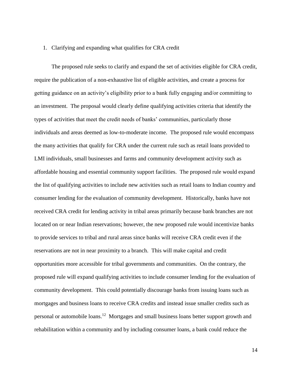#### 1. Clarifying and expanding what qualifies for CRA credit

The proposed rule seeks to clarify and expand the set of activities eligible for CRA credit, require the publication of a non-exhaustive list of eligible activities, and create a process for getting guidance on an activity's eligibility prior to a bank fully engaging and/or committing to an investment. The proposal would clearly define qualifying activities criteria that identify the types of activities that meet the credit needs of banks' communities, particularly those individuals and areas deemed as low-to-moderate income. The proposed rule would encompass the many activities that qualify for CRA under the current rule such as retail loans provided to LMI individuals, small businesses and farms and community development activity such as affordable housing and essential community support facilities. The proposed rule would expand the list of qualifying activities to include new activities such as retail loans to Indian country and consumer lending for the evaluation of community development. Historically, banks have not received CRA credit for lending activity in tribal areas primarily because bank branches are not located on or near Indian reservations; however, the new proposed rule would incentivize banks to provide services to tribal and rural areas since banks will receive CRA credit even if the reservations are not in near proximity to a branch. This will make capital and credit opportunities more accessible for tribal governments and communities. On the contrary, the proposed rule will expand qualifying activities to include consumer lending for the evaluation of community development. This could potentially discourage banks from issuing loans such as mortgages and business loans to receive CRA credits and instead issue smaller credits such as personal or automobile loans.<sup>12</sup> Mortgages and small business loans better support growth and rehabilitation within a community and by including consumer loans, a bank could reduce the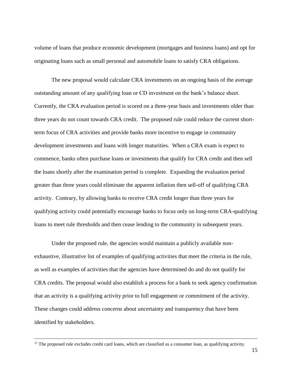volume of loans that produce economic development (mortgages and business loans) and opt for originating loans such as small personal and automobile loans to satisfy CRA obligations.

The new proposal would calculate CRA investments on an ongoing basis of the average outstanding amount of any qualifying loan or CD investment on the bank's balance sheet. Currently, the CRA evaluation period is scored on a three-year basis and investments older than three years do not count towards CRA credit. The proposed rule could reduce the current shortterm focus of CRA activities and provide banks more incentive to engage in community development investments and loans with longer maturities. When a CRA exam is expect to commence, banks often purchase loans or investments that qualify for CRA credit and then sell the loans shortly after the examination period is complete. Expanding the evaluation period greater than three years could eliminate the apparent inflation then sell-off of qualifying CRA activity. Contrary, by allowing banks to receive CRA credit longer than three years for qualifying activity could potentially encourage banks to focus only on long-term CRA-qualifying loans to meet rule thresholds and then cease lending to the community in subsequent years.

Under the proposed rule, the agencies would maintain a publicly available nonexhaustive, illustrative list of examples of qualifying activities that meet the criteria in the rule, as well as examples of activities that the agencies have determined do and do not qualify for CRA credits. The proposal would also establish a process for a bank to seek agency confirmation that an activity is a qualifying activity prior to full engagement or commitment of the activity. These changes could address concerns about uncertainty and transparency that have been identified by stakeholders.

 $12$  The proposed rule excludes credit card loans, which are classified as a consumer loan, as qualifying activity.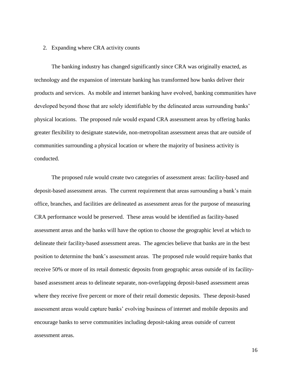#### 2. Expanding where CRA activity counts

The banking industry has changed significantly since CRA was originally enacted, as technology and the expansion of interstate banking has transformed how banks deliver their products and services. As mobile and internet banking have evolved, banking communities have developed beyond those that are solely identifiable by the delineated areas surrounding banks' physical locations. The proposed rule would expand CRA assessment areas by offering banks greater flexibility to designate statewide, non-metropolitan assessment areas that are outside of communities surrounding a physical location or where the majority of business activity is conducted.

The proposed rule would create two categories of assessment areas: facility-based and deposit-based assessment areas. The current requirement that areas surrounding a bank's main office, branches, and facilities are delineated as assessment areas for the purpose of measuring CRA performance would be preserved. These areas would be identified as facility-based assessment areas and the banks will have the option to choose the geographic level at which to delineate their facility-based assessment areas. The agencies believe that banks are in the best position to determine the bank's assessment areas. The proposed rule would require banks that receive 50% or more of its retail domestic deposits from geographic areas outside of its facilitybased assessment areas to delineate separate, non-overlapping deposit-based assessment areas where they receive five percent or more of their retail domestic deposits. These deposit-based assessment areas would capture banks' evolving business of internet and mobile deposits and encourage banks to serve communities including deposit-taking areas outside of current assessment areas.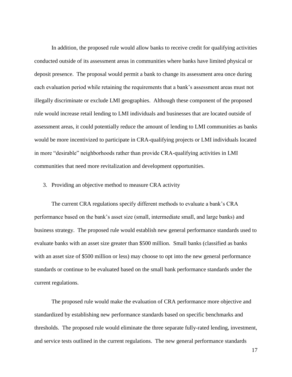In addition, the proposed rule would allow banks to receive credit for qualifying activities conducted outside of its assessment areas in communities where banks have limited physical or deposit presence. The proposal would permit a bank to change its assessment area once during each evaluation period while retaining the requirements that a bank's assessment areas must not illegally discriminate or exclude LMI geographies. Although these component of the proposed rule would increase retail lending to LMI individuals and businesses that are located outside of assessment areas, it could potentially reduce the amount of lending to LMI communities as banks would be more incentivized to participate in CRA-qualifying projects or LMI individuals located in more "desirable" neighborhoods rather than provide CRA-qualifying activities in LMI communities that need more revitalization and development opportunities.

#### 3. Providing an objective method to measure CRA activity

The current CRA regulations specify different methods to evaluate a bank's CRA performance based on the bank's asset size (small, intermediate small, and large banks) and business strategy. The proposed rule would establish new general performance standards used to evaluate banks with an asset size greater than \$500 million. Small banks (classified as banks with an asset size of \$500 million or less) may choose to opt into the new general performance standards or continue to be evaluated based on the small bank performance standards under the current regulations.

The proposed rule would make the evaluation of CRA performance more objective and standardized by establishing new performance standards based on specific benchmarks and thresholds. The proposed rule would eliminate the three separate fully-rated lending, investment, and service tests outlined in the current regulations. The new general performance standards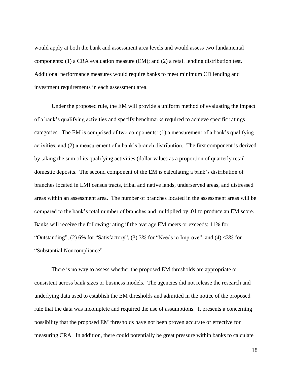would apply at both the bank and assessment area levels and would assess two fundamental components: (1) a CRA evaluation measure (EM); and (2) a retail lending distribution test. Additional performance measures would require banks to meet minimum CD lending and investment requirements in each assessment area.

Under the proposed rule, the EM will provide a uniform method of evaluating the impact of a bank's qualifying activities and specify benchmarks required to achieve specific ratings categories. The EM is comprised of two components: (1) a measurement of a bank's qualifying activities; and (2) a measurement of a bank's branch distribution. The first component is derived by taking the sum of its qualifying activities (dollar value) as a proportion of quarterly retail domestic deposits. The second component of the EM is calculating a bank's distribution of branches located in LMI census tracts, tribal and native lands, underserved areas, and distressed areas within an assessment area. The number of branches located in the assessment areas will be compared to the bank's total number of branches and multiplied by .01 to produce an EM score. Banks will receive the following rating if the average EM meets or exceeds: 11% for "Outstanding",  $(2)$  6% for "Satisfactory",  $(3)$  3% for "Needs to Improve", and  $(4)$  <3% for "Substantial Noncompliance".

There is no way to assess whether the proposed EM thresholds are appropriate or consistent across bank sizes or business models. The agencies did not release the research and underlying data used to establish the EM thresholds and admitted in the notice of the proposed rule that the data was incomplete and required the use of assumptions. It presents a concerning possibility that the proposed EM thresholds have not been proven accurate or effective for measuring CRA. In addition, there could potentially be great pressure within banks to calculate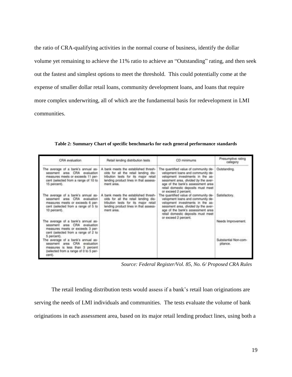the ratio of CRA-qualifying activities in the normal course of business, identify the dollar volume yet remaining to achieve the 11% ratio to achieve an "Outstanding" rating, and then seek out the fastest and simplest options to meet the threshold. This could potentially come at the expense of smaller dollar retail loans, community development loans, and loans that require more complex underwriting, all of which are the fundamental basis for redevelopment in LMI communities.

| CRA evaluation                                                                                                                                                   | Retail lending distribution tests                                                                                                                                           | CD minimums                                                                                                                                                                                                                                              | Presumptive rating<br>category   |  |
|------------------------------------------------------------------------------------------------------------------------------------------------------------------|-----------------------------------------------------------------------------------------------------------------------------------------------------------------------------|----------------------------------------------------------------------------------------------------------------------------------------------------------------------------------------------------------------------------------------------------------|----------------------------------|--|
| The average of a bank's annual as-<br>sessment area CRA evaluation<br>measures meets or exceeds 11 per-<br>cent (selected from a range of 10 to<br>15 percent).  | A bank moots the established thresh-<br>olds for all the retail lending dis-<br>tribution tests for its major retail<br>lending product lines in that assess-<br>ment area. | The quantified value of community de-<br>velopment loans and community de-<br>velopment investments in the as-<br>sessment area, divided by the aver-<br>age of the bank's assessment area<br>retail domestic deposits must meet<br>or exceed 2 percent. | Outstanding.                     |  |
| The average of a bank's annual as-<br>sessment area<br>CRA evaluation<br>measures meets or exceeds 6 per-<br>cent (selected from a range of 5 to<br>10 percent). | A bank meets the established thresh-<br>olds for all the retail lending dis-<br>tribution tests for its major retail<br>lending product lines in that assess-<br>ment area. | The quantified value of community de-<br>velopment loans and community de-<br>velopment investments in the as-<br>sessment area, divided by the aver-<br>age of the bank's assessment area<br>retail domestic deposits must meet<br>or exceed 2 percent. | Satisfactory.                    |  |
| The average of a bank's annual as-<br>sessment area CRA evaluation<br>measures meets or exceeds 3 per-<br>cent (selected from a range of 2 to<br>5 percent).     |                                                                                                                                                                             |                                                                                                                                                                                                                                                          | Needs Improvement.               |  |
| The average of a bank's annual as-<br>sessment area CRA<br>evaluation<br>measures is less than 3 percent<br>(selected from a range of 0 to 5 per-<br>cent).      |                                                                                                                                                                             |                                                                                                                                                                                                                                                          | Substantial Non-com-<br>pliance. |  |

**Table 2: Summary Chart of specific benchmarks for each general performance standards**

 *Source: Federal Register/Vol. 85, No. 6/ Proposed CRA Rules*

The retail lending distribution tests would assess if a bank's retail loan originations are serving the needs of LMI individuals and communities. The tests evaluate the volume of bank originations in each assessment area, based on its major retail lending product lines, using both a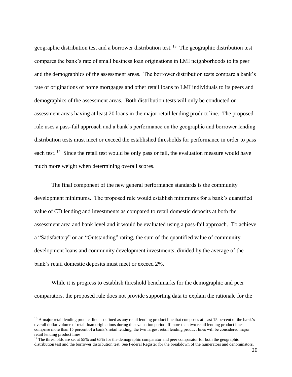geographic distribution test and a borrower distribution test. <sup>13</sup> The geographic distribution test compares the bank's rate of small business loan originations in LMI neighborhoods to its peer and the demographics of the assessment areas. The borrower distribution tests compare a bank's rate of originations of home mortgages and other retail loans to LMI individuals to its peers and demographics of the assessment areas. Both distribution tests will only be conducted on assessment areas having at least 20 loans in the major retail lending product line. The proposed rule uses a pass-fail approach and a bank's performance on the geographic and borrower lending distribution tests must meet or exceed the established thresholds for performance in order to pass each test.<sup>14</sup> Since the retail test would be only pass or fail, the evaluation measure would have much more weight when determining overall scores.

The final component of the new general performance standards is the community development minimums. The proposed rule would establish minimums for a bank's quantified value of CD lending and investments as compared to retail domestic deposits at both the assessment area and bank level and it would be evaluated using a pass-fail approach. To achieve a "Satisfactory" or an "Outstanding" rating, the sum of the quantified value of community development loans and community development investments, divided by the average of the bank's retail domestic deposits must meet or exceed 2%.

While it is progress to establish threshold benchmarks for the demographic and peer comparators, the proposed rule does not provide supporting data to explain the rationale for the

<sup>&</sup>lt;sup>13</sup> A major retail lending product line is defined as any retail lending product line that composes at least 15 percent of the bank's overall dollar volume of retail loan originations during the evaluation period. If more than two retail lending product lines comprise more than 15 percent of a bank's retail lending, the two largest retail lending product lines will be considered major retail lending product lines.

<sup>&</sup>lt;sup>14</sup> The thresholds are set at 55% and 65% for the demographic comparator and peer comparator for both the geographic distribution test and the borrower distribution test. See Federal Register for the breakdown of the numerators and denominators.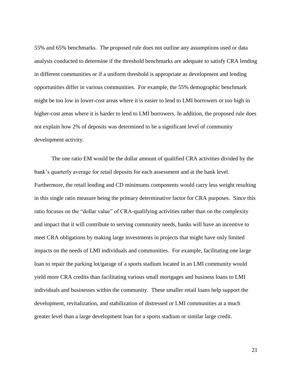55% and 65% benchmarks. The proposed rule does not outline any assumptions used or data analysis conducted to determine if the threshold benchmarks are adequate to satisfy CRA lending in different communities or if a uniform threshold is appropriate as development and lending opportunities differ in various communities. For example, the 55% demographic benchmark might be too low in lower-cost areas where it is easier to lend to LMI borrowers or too high in higher-cost areas where it is harder to lend to LMI borrowers. In addition, the proposed rule does not explain how 2% of deposits was determined to be a significant level of community development activity.

The one ratio EM would be the dollar amount of qualified CRA activities divided by the bank's quarterly average for retail deposits for each assessment and at the bank level. Furthermore, the retail lending and CD minimums components would carry less weight resulting in this single ratio measure being the primary determinative factor for CRA purposes. Since this ratio focuses on the "dollar value" of CRA-qualifying activities rather than on the complexity and impact that it will contribute to serving community needs, banks will have an incentive to meet CRA obligations by making large investments in projects that might have only limited impacts on the needs of LMI individuals and communities. For example, facilitating one large loan to repair the parking lot/garage of a sports stadium located in an LMI community would yield more CRA credits than facilitating various small mortgages and business loans to LMI individuals and businesses within the community. These smaller retail loans help support the development, revitalization, and stabilization of distressed or LMI communities at a much greater level than a large development loan for a sports stadium or similar large credit.

21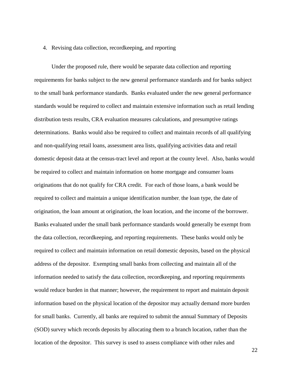#### 4. Revising data collection, recordkeeping, and reporting

Under the proposed rule, there would be separate data collection and reporting requirements for banks subject to the new general performance standards and for banks subject to the small bank performance standards. Banks evaluated under the new general performance standards would be required to collect and maintain extensive information such as retail lending distribution tests results, CRA evaluation measures calculations, and presumptive ratings determinations. Banks would also be required to collect and maintain records of all qualifying and non-qualifying retail loans, assessment area lists, qualifying activities data and retail domestic deposit data at the census-tract level and report at the county level. Also, banks would be required to collect and maintain information on home mortgage and consumer loans originations that do not qualify for CRA credit. For each of those loans, a bank would be required to collect and maintain a unique identification number, the loan type, the date of origination, the loan amount at origination, the loan location, and the income of the borrower. Banks evaluated under the small bank performance standards would generally be exempt from the data collection, recordkeeping, and reporting requirements. These banks would only be required to collect and maintain information on retail domestic deposits, based on the physical address of the depositor. Exempting small banks from collecting and maintain all of the information needed to satisfy the data collection, recordkeeping, and reporting requirements would reduce burden in that manner; however, the requirement to report and maintain deposit information based on the physical location of the depositor may actually demand more burden for small banks. Currently, all banks are required to submit the annual Summary of Deposits (SOD) survey which records deposits by allocating them to a branch location, rather than the location of the depositor. This survey is used to assess compliance with other rules and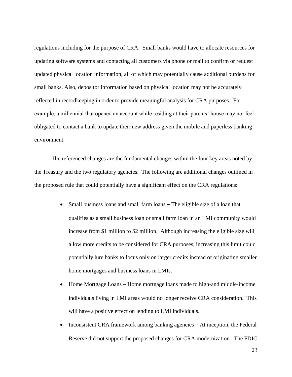regulations including for the purpose of CRA. Small banks would have to allocate resources for updating software systems and contacting all customers via phone or mail to confirm or request updated physical location information, all of which may potentially cause additional burdens for small banks. Also, depositor information based on physical location may not be accurately reflected in recordkeeping in order to provide meaningful analysis for CRA purposes. For example, a millennial that opened an account while residing at their parents' house may not feel obligated to contact a bank to update their new address given the mobile and paperless banking environment.

The referenced changes are the fundamental changes within the four key areas noted by the Treasury and the two regulatory agencies. The following are additional changes outlined in the proposed rule that could potentially have a significant effect on the CRA regulations:

- Small business loans and small farm loans The eligible size of a loan that qualifies as a small business loan or small farm loan in an LMI community would increase from \$1 million to \$2 million. Although increasing the eligible size will allow more credits to be considered for CRA purposes, increasing this limit could potentially lure banks to focus only on larger credits instead of originating smaller home mortgages and business loans in LMIs.
- Home Mortgage Loans Home mortgage loans made to high-and middle-income individuals living in LMI areas would no longer receive CRA consideration. This will have a positive effect on lending to LMI individuals.
- Inconsistent CRA framework among banking agencies At inception, the Federal Reserve did not support the proposed changes for CRA modernization. The FDIC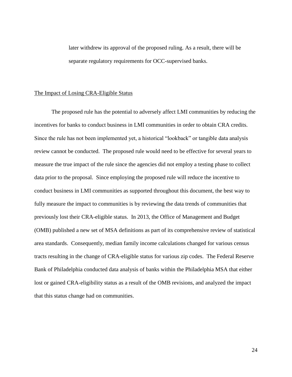later withdrew its approval of the proposed ruling. As a result, there will be separate regulatory requirements for OCC-supervised banks.

#### The Impact of Losing CRA-Eligible Status

The proposed rule has the potential to adversely affect LMI communities by reducing the incentives for banks to conduct business in LMI communities in order to obtain CRA credits. Since the rule has not been implemented yet, a historical "lookback" or tangible data analysis review cannot be conducted. The proposed rule would need to be effective for several years to measure the true impact of the rule since the agencies did not employ a testing phase to collect data prior to the proposal. Since employing the proposed rule will reduce the incentive to conduct business in LMI communities as supported throughout this document, the best way to fully measure the impact to communities is by reviewing the data trends of communities that previously lost their CRA-eligible status. In 2013, the Office of Management and Budget (OMB) published a new set of MSA definitions as part of its comprehensive review of statistical area standards. Consequently, median family income calculations changed for various census tracts resulting in the change of CRA-eligible status for various zip codes. The Federal Reserve Bank of Philadelphia conducted data analysis of banks within the Philadelphia MSA that either lost or gained CRA-eligibility status as a result of the OMB revisions, and analyzed the impact that this status change had on communities.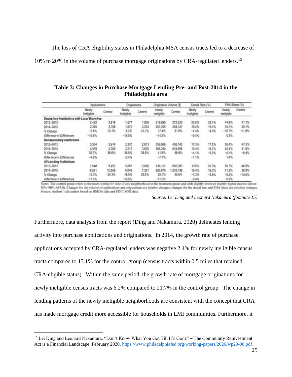The loss of CRA eligibility status in Philadelphia MSA census tracts led to a decrease of 10% to 20% in the volume of purchase mortgage originations by CRA-regulated lenders. 15

**Table 3: Changes in Purchase Mortgage Lending Pre- and Post-2014 in the Philadelphia area**

|                                             | Applications        |         | Originations.       |         | Origination Volume (\$) |           | Denial Rate (%)     |          | FHA Share (%)       |           |
|---------------------------------------------|---------------------|---------|---------------------|---------|-------------------------|-----------|---------------------|----------|---------------------|-----------|
|                                             | Newly<br>Ineligible | Control | Newly<br>Ineligible | Control | Newly<br>Ineligible     | Control   | Newly<br>Ineligible | Control  | Newty<br>Ineligible | Control   |
| Depository Institutions with Local Branches |                     |         |                     |         |                         |           |                     |          |                     |           |
| 2012-2013                                   | 2.422               | 2,818   | 1,577               | 1,836   | 218,895                 | 272,320   | 23.6%               | 23.4%    | 44.8%               | 41.1%     |
| 2014-2015                                   | 2.365               | 3,188   | 1,675               | 2.234   | 257,005                 | 358, 337  | 19.2%               | $19.4\%$ | 34.1%               | 30.1%     |
| % Change                                    | $-2.4%$             | 13.1%   | 6.2%                | 21.7%   | 17.4%                   | 31.6%     | $-4.4%$             | $-4.0\%$ | $-10.7%$            | $-11.0\%$ |
| Difference in Differences                   | $-15.5%$            |         | $-15.5%$            |         | $-14.2%$                |           | $-0.4%$             |          | 0.3%                |           |
| Nondepository Institutions                  |                     |         |                     |         |                         |           |                     |          |                     |           |
| 2012-2013                                   | 3,504               | 3,914   | 2,370               | 2,613   | 356,866                 | 406,140   | 17.5%               | 17.8%    | 50.4%               | 47.5%     |
| 2014-2015                                   | 4,578               | 5.306   | 3,212               | 3,630   | 506,240                 | 604, 808  | 13.4%               | 14.7%    | 45.4%               | 41.0%     |
| % Change                                    | 30.7%               | 35.6%   | 35.5%               | 38.9%   | 41.9%                   | 48.9%     | $-4.1%$             | $-3.0%$  | $-5.1%$             | $-6.5%$   |
| Ofference in Differences                    | $-4.9%$             |         | $-3.4%$             |         | $-7.1%$                 |           | $-1.1%$             |          | 1.4%                |           |
| All Lending Institutions                    |                     |         |                     |         |                         |           |                     |          |                     |           |
| 2012-2013                                   | 7,548               | 8,497   | 5.087               | 5,656   | 736.112                 | 856,983   | 19.6%               | 20.0%    | 50.7%               | 46.9%     |
| 2014~2015                                   | 8.551               | 10,559  | 6.046               | 7,331   | 950.675                 | 1,205,136 | 15.4%               | 16.2%    | 41.5%               | 36.9%     |
| % Change                                    | 13.3%               | 24.3%   | 18.9%               | 29.6%   | 29.1%                   | 40.6%     | $-4.3%$             | $-3.8%$  | $-9.2%$             | $-10.0\%$ |
| Difference in Differences                   | $-11.0%$            |         | $-10.8%$            |         | $-11.5%$                |           | $-0.4%$             |          | $0.8\%$             |           |

Notes: The control group refers to the tracts within 0.5 mile of any neighborhood in the treatment group and with slightly lower or slightly higher income (about 50%-90% AFMI). Changes for the volume of applications and originations are relative changes; changes for the denial rate and FHA share are absolute changes. Source: Authors' calculation based on HMDA data and FDIC SOD data.

*Source: Lei Ding and Leonard Nakamura (footnote 15)*

Furthermore, data analysis from the report (Ding and Nakamura, 2020) delineates lending activity into purchase applications and originations. In 2014, the growth rate of purchase applications accepted by CRA-regulated lenders was negative 2.4% for newly ineligible census tracts compared to 13.1% for the control group (census tracts within 0.5 miles that retained CRA-eligible status). Within the same period, the growth rate of mortgage originations for newly ineligible census tracts was 6.2% compared to 21.7% in the control group. The change in lending patterns of the newly ineligible neighborhoods are consistent with the concept that CRA has made mortgage credit more accessible for households in LMI communities. Furthermore, it

<sup>&</sup>lt;sup>15</sup> Lei Ding and Leonard Nakamura. "Don't Know What You Got Till It's Gone" – The Community Reinvestment Act is a Financial Landscape. February 2020. [https://www.philadelphiafed.org/working-papers/2020/wp20-08.pdf](https://www.philadelphiafed.org/-/media/frbp/assets/working-papers/2020/wp20-08.pdf)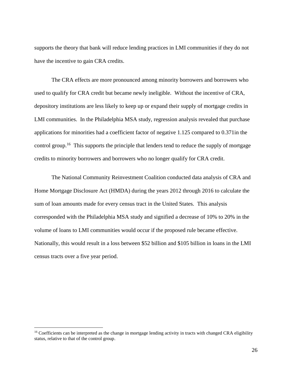supports the theory that bank will reduce lending practices in LMI communities if they do not have the incentive to gain CRA credits.

The CRA effects are more pronounced among minority borrowers and borrowers who used to qualify for CRA credit but became newly ineligible. Without the incentive of CRA, depository institutions are less likely to keep up or expand their supply of mortgage credits in LMI communities. In the Philadelphia MSA study, regression analysis revealed that purchase applications for minorities had a coefficient factor of negative 1.125 compared to 0.371in the control group.<sup>16</sup> This supports the principle that lenders tend to reduce the supply of mortgage credits to minority borrowers and borrowers who no longer qualify for CRA credit.

The National Community Reinvestment Coalition conducted data analysis of CRA and Home Mortgage Disclosure Act (HMDA) during the years 2012 through 2016 to calculate the sum of loan amounts made for every census tract in the United States. This analysis corresponded with the Philadelphia MSA study and signified a decrease of 10% to 20% in the volume of loans to LMI communities would occur if the proposed rule became effective. Nationally, this would result in a loss between \$52 billion and \$105 billion in loans in the LMI census tracts over a five year period.

 $16$  Coefficients can be interpreted as the change in mortgage lending activity in tracts with changed CRA eligibility status, relative to that of the control group.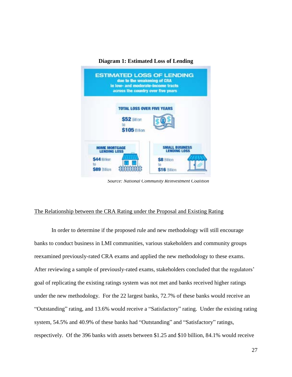

**Diagram 1: Estimated Loss of Lending**

 *Source: National Community Reinvestment Coalition*

#### The Relationship between the CRA Rating under the Proposal and Existing Rating

In order to determine if the proposed rule and new methodology will still encourage banks to conduct business in LMI communities, various stakeholders and community groups reexamined previously-rated CRA exams and applied the new methodology to these exams. After reviewing a sample of previously-rated exams, stakeholders concluded that the regulators' goal of replicating the existing ratings system was not met and banks received higher ratings under the new methodology. For the 22 largest banks, 72.7% of these banks would receive an "Outstanding" rating, and 13.6% would receive a "Satisfactory" rating. Under the existing rating system, 54.5% and 40.9% of these banks had "Outstanding" and "Satisfactory" ratings, respectively. Of the 396 banks with assets between \$1.25 and \$10 billion, 84.1% would receive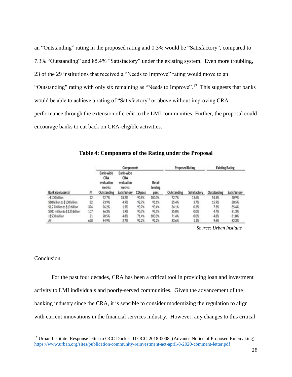an "Outstanding" rating in the proposed rating and 0.3% would be "Satisfactory", compared to 7.3% "Outstanding" and 85.4% "Satisfactory" under the existing system. Even more troubling, 23 of the 29 institutions that received a "Needs to Improve" rating would move to an "Outstanding" rating with only six remaining as "Needs to Improve".<sup>17</sup> This suggests that banks would be able to achieve a rating of "Satisfactory" or above without improving CRA performance through the extension of credit to the LMI communities. Further, the proposal could encourage banks to cut back on CRA-eligible activities.

|                                 |     | Components                                               |                                                           |         |                           |             | <b>Proposed Rating</b> | <b>Existing Rating</b> |              |
|---------------------------------|-----|----------------------------------------------------------|-----------------------------------------------------------|---------|---------------------------|-------------|------------------------|------------------------|--------------|
| Bank size (assets)              | Ν   | Bank-wide<br>CRA<br>evaluation<br>metric:<br>Outstanding | Bank-wide<br>CRA<br>evaluation<br>metric:<br>Satisfactory | CD pass | Retail<br>lending<br>pass | Outstanding | Satisfactory           | Outstanding            | Satisfactory |
| >\$100 billion                  | 22  | 72.7%                                                    | 18.2%                                                     | 90.9%   | 100.0%                    | 72.7%       | 13.6%                  | 54.5%                  | 40.9%        |
| \$10 billion to \$100 billion   | 82  | 93.9%                                                    | 4.9%                                                      | 92.7%   | 95.1%                     | 85.4%       | 3.7%                   | 15.9%                  | 80.5%        |
| \$1.25 billion to \$10 billion  | 396 | 96.2%                                                    | 1.5%                                                      | 93.7%   | 90.4%                     | 84.1%       | 0.3%                   | 7.3%                   | 85.4%        |
| \$500 million to \$1.25 billion | 107 | 96.3%                                                    | 1.9%                                                      | 90.7%   | 93.5%                     | 85.0%       | 0.0%                   | 4.7%                   | 81.3%        |
| s\$500 million                  | 21  | 90.5%                                                    | 4.8%                                                      | 71.4%   | 100.0%                    | 71.4%       | 0.0%                   | 4.8%                   | 81.0%        |
| All                             | 628 | 94.9%                                                    | 2.7%                                                      | 92.2%   | 92.2%                     | 83.6%       | 1.1%                   | 9.6%                   | 82.3%        |

**Table 4: Components of the Rating under the Proposal**

 *Source: Urban Institute* 

#### Conclusion

 $\overline{a}$ 

For the past four decades, CRA has been a critical tool in providing loan and investment activity to LMI individuals and poorly-served communities. Given the advancement of the banking industry since the CRA, it is sensible to consider modernizing the regulation to align with current innovations in the financial services industry. However, any changes to this critical

<sup>&</sup>lt;sup>17</sup> Urban Institute: Response letter to OCC Docket ID OCC-2018-0008; (Advance Notice of Proposed Rulemaking) [https://www.urban.org/sites/publication/community-reinvestment-act-april-8-2020-comment-letter.pdf](https://www.urban.org/sites/default/files/publication/102005/community-reinvestment-act-april-8-2020-comment-letter.pdf)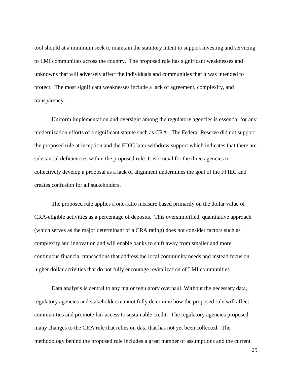tool should at a minimum seek to maintain the statutory intent to support investing and servicing to LMI communities across the country. The proposed rule has significant weaknesses and unknowns that will adversely affect the individuals and communities that it was intended to protect. The most significant weaknesses include a lack of agreement, complexity, and transparency.

Uniform implementation and oversight among the regulatory agencies is essential for any modernization efforts of a significant statute such as CRA. The Federal Reserve did not support the proposed rule at inception and the FDIC later withdrew support which indicates that there are substantial deficiencies within the proposed rule. It is crucial for the three agencies to collectively develop a proposal as a lack of alignment undermines the goal of the FFIEC and creates confusion for all stakeholders.

The proposed rule applies a one-ratio measure based primarily on the dollar value of CRA-eligible activities as a percentage of deposits. This oversimplified, quantitative approach (which serves as the major determinant of a CRA rating) does not consider factors such as complexity and innovation and will enable banks to shift away from smaller and more continuous financial transactions that address the local community needs and instead focus on higher dollar activities that do not fully encourage revitalization of LMI communities.

Data analysis is central to any major regulatory overhaul. Without the necessary data, regulatory agencies and stakeholders cannot fully determine how the proposed rule will affect communities and promote fair access to sustainable credit. The regulatory agencies proposed many changes to the CRA rule that relies on data that has not yet been collected. The methodology behind the proposed rule includes a great number of assumptions and the current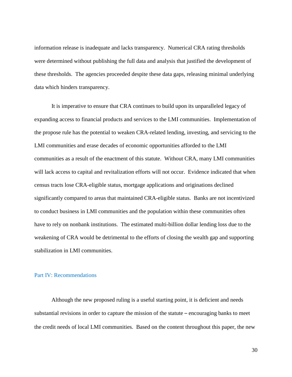information release is inadequate and lacks transparency. Numerical CRA rating thresholds were determined without publishing the full data and analysis that justified the development of these thresholds. The agencies proceeded despite these data gaps, releasing minimal underlying data which hinders transparency.

It is imperative to ensure that CRA continues to build upon its unparalleled legacy of expanding access to financial products and services to the LMI communities. Implementation of the propose rule has the potential to weaken CRA-related lending, investing, and servicing to the LMI communities and erase decades of economic opportunities afforded to the LMI communities as a result of the enactment of this statute. Without CRA, many LMI communities will lack access to capital and revitalization efforts will not occur. Evidence indicated that when census tracts lose CRA-eligible status, mortgage applications and originations declined significantly compared to areas that maintained CRA-eligible status. Banks are not incentivized to conduct business in LMI communities and the population within these communities often have to rely on nonbank institutions. The estimated multi-billion dollar lending loss due to the weakening of CRA would be detrimental to the efforts of closing the wealth gap and supporting stabilization in LMI communities.

#### Part IV: Recommendations

Although the new proposed ruling is a useful starting point, it is deficient and needs substantial revisions in order to capture the mission of the statute – encouraging banks to meet the credit needs of local LMI communities. Based on the content throughout this paper, the new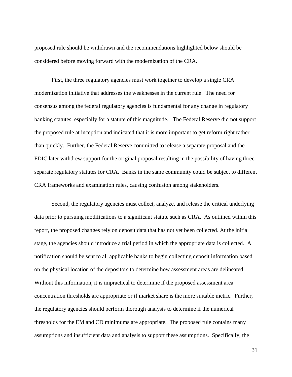proposed rule should be withdrawn and the recommendations highlighted below should be considered before moving forward with the modernization of the CRA.

First, the three regulatory agencies must work together to develop a single CRA modernization initiative that addresses the weaknesses in the current rule. The need for consensus among the federal regulatory agencies is fundamental for any change in regulatory banking statutes, especially for a statute of this magnitude. The Federal Reserve did not support the proposed rule at inception and indicated that it is more important to get reform right rather than quickly. Further, the Federal Reserve committed to release a separate proposal and the FDIC later withdrew support for the original proposal resulting in the possibility of having three separate regulatory statutes for CRA. Banks in the same community could be subject to different CRA frameworks and examination rules, causing confusion among stakeholders.

Second, the regulatory agencies must collect, analyze, and release the critical underlying data prior to pursuing modifications to a significant statute such as CRA. As outlined within this report, the proposed changes rely on deposit data that has not yet been collected. At the initial stage, the agencies should introduce a trial period in which the appropriate data is collected. A notification should be sent to all applicable banks to begin collecting deposit information based on the physical location of the depositors to determine how assessment areas are delineated. Without this information, it is impractical to determine if the proposed assessment area concentration thresholds are appropriate or if market share is the more suitable metric. Further, the regulatory agencies should perform thorough analysis to determine if the numerical thresholds for the EM and CD minimums are appropriate. The proposed rule contains many assumptions and insufficient data and analysis to support these assumptions. Specifically, the

31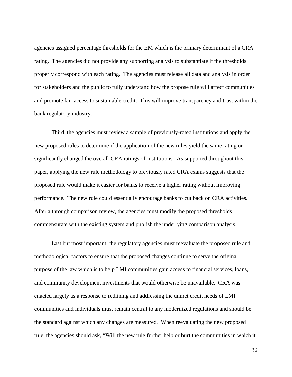agencies assigned percentage thresholds for the EM which is the primary determinant of a CRA rating. The agencies did not provide any supporting analysis to substantiate if the thresholds properly correspond with each rating. The agencies must release all data and analysis in order for stakeholders and the public to fully understand how the propose rule will affect communities and promote fair access to sustainable credit. This will improve transparency and trust within the bank regulatory industry.

Third, the agencies must review a sample of previously-rated institutions and apply the new proposed rules to determine if the application of the new rules yield the same rating or significantly changed the overall CRA ratings of institutions. As supported throughout this paper, applying the new rule methodology to previously rated CRA exams suggests that the proposed rule would make it easier for banks to receive a higher rating without improving performance. The new rule could essentially encourage banks to cut back on CRA activities. After a through comparison review, the agencies must modify the proposed thresholds commensurate with the existing system and publish the underlying comparison analysis.

Last but most important, the regulatory agencies must reevaluate the proposed rule and methodological factors to ensure that the proposed changes continue to serve the original purpose of the law which is to help LMI communities gain access to financial services, loans, and community development investments that would otherwise be unavailable. CRA was enacted largely as a response to redlining and addressing the unmet credit needs of LMI communities and individuals must remain central to any modernized regulations and should be the standard against which any changes are measured. When reevaluating the new proposed rule, the agencies should ask, "Will the new rule further help or hurt the communities in which it

32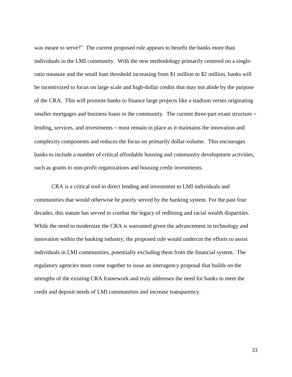was meant to serve?" The current proposed rule appears to benefit the banks more than individuals in the LMI community. With the new methodology primarily centered on a singleratio measure and the small loan threshold increasing from \$1 million to \$2 million, banks will be incentivized to focus on large scale and high-dollar credits that may not abide by the purpose of the CRA. This will promote banks to finance large projects like a stadium verses originating smaller mortgages and business loans in the community. The current three-part exam structure – lending, services, and investments – must remain in place as it maintains the innovation and complexity components and reduces the focus on primarily dollar-volume. This encourages banks to include a number of critical affordable housing and community development activities, such as grants to non-profit organizations and housing credit investments.

CRA is a critical tool to direct lending and investment to LMI individuals and communities that would otherwise be poorly served by the banking system. For the past four decades, this statute has served to combat the legacy of redlining and racial wealth disparities. While the need to modernize the CRA is warranted given the advancement in technology and innovation within the banking industry, the proposed rule would undercut the efforts to assist individuals in LMI communities, potentially excluding them from the financial system. The regulatory agencies must come together to issue an interagency proposal that builds on the strengths of the existing CRA framework and truly addresses the need for banks to meet the credit and deposit needs of LMI communities and increase transparency.